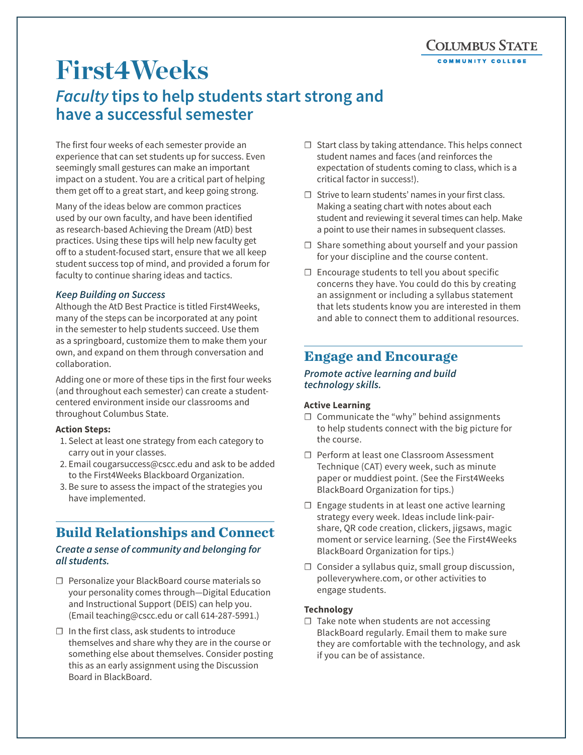COLUMBUS STATE

# **First4Weeks** *Faculty* **tips to help students start strong and have a successful semester**

The first four weeks of each semester provide an experience that can set students up for success. Even seemingly small gestures can make an important impact on a student. You are a critical part of helping them get off to a great start, and keep going strong.

Many of the ideas below are common practices used by our own faculty, and have been identified as research-based Achieving the Dream (AtD) best practices. Using these tips will help new faculty get off to a student-focused start, ensure that we all keep student success top of mind, and provided a forum for faculty to continue sharing ideas and tactics.

#### *Keep Building on Success*

Although the AtD Best Practice is titled First4Weeks, many of the steps can be incorporated at any point in the semester to help students succeed. Use them as a springboard, customize them to make them your own, and expand on them through conversation and collaboration.

Adding one or more of these tips in the first four weeks (and throughout each semester) can create a studentcentered environment inside our classrooms and throughout Columbus State.

#### **Action Steps:**

- 1. Select at least one strategy from each category to carry out in your classes.
- 2. Email cougarsuccess@cscc.edu and ask to be added to the First4Weeks Blackboard Organization.
- 3. Be sure to assess the impact of the strategies you have implemented.

# **Build Relationships and Connect**

### *Create a sense of community and belonging for all students.*

- ☐ Personalize your BlackBoard course materials so your personality comes through—Digital Education and Instructional Support (DEIS) can help you. (Email teaching@cscc.edu or call 614-287-5991.)
- $\Box$  In the first class, ask students to introduce themselves and share why they are in the course or something else about themselves. Consider posting this as an early assignment using the Discussion Board in BlackBoard.
- ☐ Start class by taking attendance. This helps connect student names and faces (and reinforces the expectation of students coming to class, which is a critical factor in success!).
- ☐ Strive to learn students' names in your first class. Making a seating chart with notes about each student and reviewing it several times can help. Make a point to use their names in subsequent classes.
- $\Box$  Share something about yourself and your passion for your discipline and the course content.
- ☐ Encourage students to tell you about specific concerns they have. You could do this by creating an assignment or including a syllabus statement that lets students know you are interested in them and able to connect them to additional resources.

## **Engage and Encourage**

### *Promote active learning and build technology skills.*

#### **Active Learning**

- ☐ Communicate the "why" behind assignments to help students connect with the big picture for the course.
- ☐ Perform at least one Classroom Assessment Technique (CAT) every week, such as minute paper or muddiest point. (See the First4Weeks BlackBoard Organization for tips.)
- $\Box$  Engage students in at least one active learning strategy every week. Ideas include link-pairshare, QR code creation, clickers, jigsaws, magic moment or service learning. (See the First4Weeks BlackBoard Organization for tips.)
- $\Box$  Consider a syllabus quiz, small group discussion, polleverywhere.com, or other activities to engage students.

#### **Technology**

☐ Take note when students are not accessing BlackBoard regularly. Email them to make sure they are comfortable with the technology, and ask if you can be of assistance.